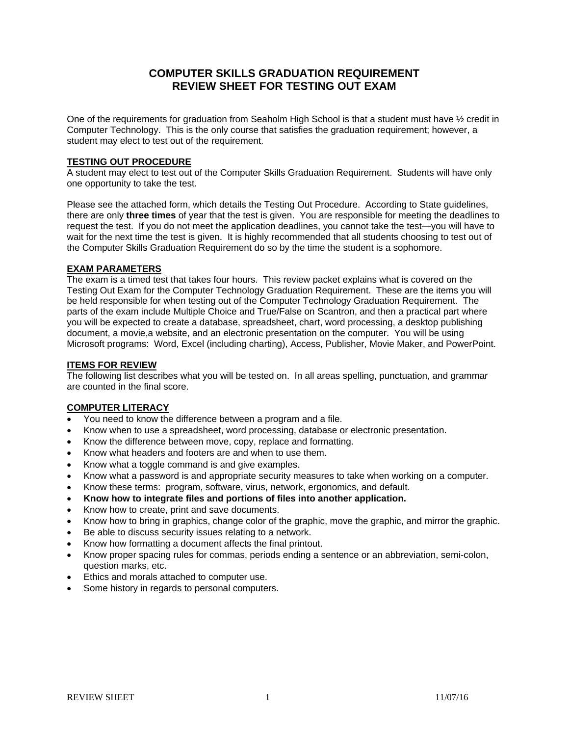# **COMPUTER SKILLS GRADUATION REQUIREMENT REVIEW SHEET FOR TESTING OUT EXAM**

One of the requirements for graduation from Seaholm High School is that a student must have ½ credit in Computer Technology. This is the only course that satisfies the graduation requirement; however, a student may elect to test out of the requirement.

### **TESTING OUT PROCEDURE**

A student may elect to test out of the Computer Skills Graduation Requirement. Students will have only one opportunity to take the test.

Please see the attached form, which details the Testing Out Procedure. According to State guidelines, there are only **three times** of year that the test is given. You are responsible for meeting the deadlines to request the test. If you do not meet the application deadlines, you cannot take the test—you will have to wait for the next time the test is given. It is highly recommended that all students choosing to test out of the Computer Skills Graduation Requirement do so by the time the student is a sophomore.

#### **EXAM PARAMETERS**

The exam is a timed test that takes four hours. This review packet explains what is covered on the Testing Out Exam for the Computer Technology Graduation Requirement. These are the items you will be held responsible for when testing out of the Computer Technology Graduation Requirement. The parts of the exam include Multiple Choice and True/False on Scantron, and then a practical part where you will be expected to create a database, spreadsheet, chart, word processing, a desktop publishing document, a movie,a website, and an electronic presentation on the computer. You will be using Microsoft programs: Word, Excel (including charting), Access, Publisher, Movie Maker, and PowerPoint.

#### **ITEMS FOR REVIEW**

The following list describes what you will be tested on. In all areas spelling, punctuation, and grammar are counted in the final score.

## **COMPUTER LITERACY**

- You need to know the difference between a program and a file.
- Know when to use a spreadsheet, word processing, database or electronic presentation.
- Know the difference between move, copy, replace and formatting.
- Know what headers and footers are and when to use them.
- Know what a toggle command is and give examples.
- Know what a password is and appropriate security measures to take when working on a computer.
- Know these terms: program, software, virus, network, ergonomics, and default.
- **Know how to integrate files and portions of files into another application.**
- Know how to create, print and save documents.
- Know how to bring in graphics, change color of the graphic, move the graphic, and mirror the graphic.
- Be able to discuss security issues relating to a network.
- Know how formatting a document affects the final printout.
- Know proper spacing rules for commas, periods ending a sentence or an abbreviation, semi-colon, question marks, etc.
- Ethics and morals attached to computer use.
- Some history in regards to personal computers.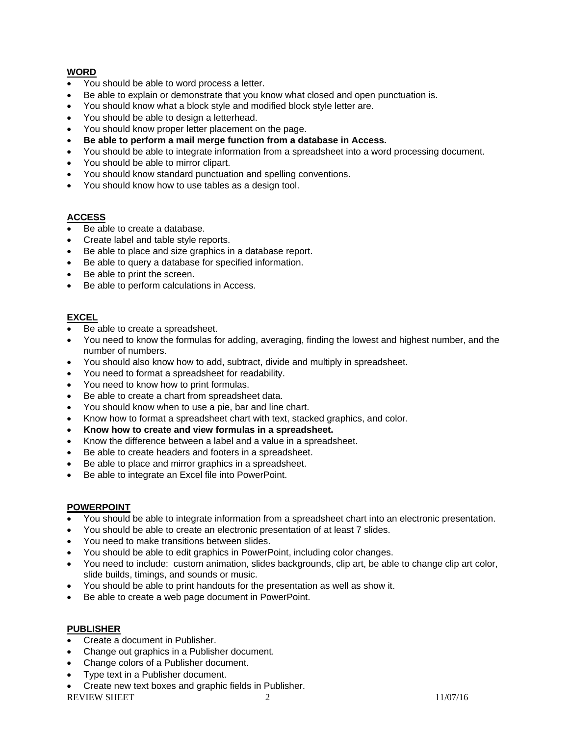## **WORD**

- You should be able to word process a letter.
- Be able to explain or demonstrate that you know what closed and open punctuation is.
- You should know what a block style and modified block style letter are.
- You should be able to design a letterhead.
- You should know proper letter placement on the page.
- **Be able to perform a mail merge function from a database in Access.**
- You should be able to integrate information from a spreadsheet into a word processing document.
- You should be able to mirror clipart.
- You should know standard punctuation and spelling conventions.
- You should know how to use tables as a design tool.

## **ACCESS**

- Be able to create a database.
- Create label and table style reports.
- Be able to place and size graphics in a database report.
- Be able to query a database for specified information.
- Be able to print the screen.
- Be able to perform calculations in Access.

## **EXCEL**

- Be able to create a spreadsheet.
- You need to know the formulas for adding, averaging, finding the lowest and highest number, and the number of numbers.
- You should also know how to add, subtract, divide and multiply in spreadsheet.
- You need to format a spreadsheet for readability.
- You need to know how to print formulas.
- Be able to create a chart from spreadsheet data.
- You should know when to use a pie, bar and line chart.
- Know how to format a spreadsheet chart with text, stacked graphics, and color.
- **Know how to create and view formulas in a spreadsheet.**
- Know the difference between a label and a value in a spreadsheet.
- Be able to create headers and footers in a spreadsheet.
- Be able to place and mirror graphics in a spreadsheet.
- Be able to integrate an Excel file into PowerPoint.

### **POWERPOINT**

- You should be able to integrate information from a spreadsheet chart into an electronic presentation.
- You should be able to create an electronic presentation of at least 7 slides.
- You need to make transitions between slides.
- You should be able to edit graphics in PowerPoint, including color changes.
- You need to include: custom animation, slides backgrounds, clip art, be able to change clip art color, slide builds, timings, and sounds or music.
- You should be able to print handouts for the presentation as well as show it.
- Be able to create a web page document in PowerPoint.

### **PUBLISHER**

- Create a document in Publisher.
- Change out graphics in a Publisher document.
- Change colors of a Publisher document.
- Type text in a Publisher document.
- REVIEW SHEET 2 2 11/07/16 • Create new text boxes and graphic fields in Publisher.